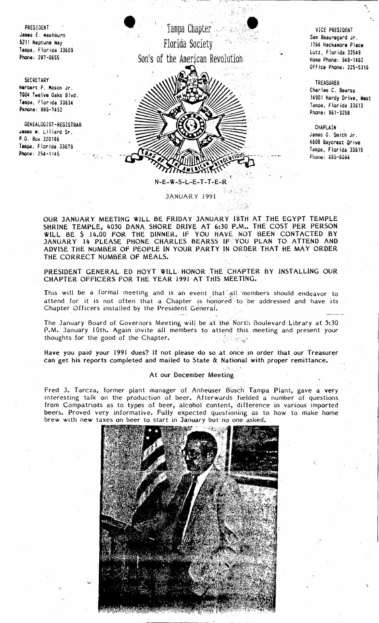

Office Phone: 225~5316

TREASURER Charles C. Bearss 14901 Hardy Drive, West Tampa, Florida 33613 Phone: 961-3258

**CHAPLAIN** James O. Smith Jr. 4608 Baycrest Qrive Tampa, Florida 33615 Phone: 885-6084

 $\ddot{\phantom{1}}$ 

OUR JANUARY MEETING WILL BE FRIDAY JANUARY 18TH AT THE EGYPT TEMPLE SHRINE TEMPLE, 4050 DANA SHORE DRIVE AT 6:30 P.M., THE COST PER PERSON WILL BE \$ 14.00 FOR THE DINNER. IF'yOU HAVE NOT BEEN CONTACTED BY JANUARY 14 PLEASE PHONE CHARLES BEARSS IF YOU PLAN TO ATTEND AND ADVISE THE NUMBER OF PEOPLE IN YOUR PARTY IN ORDER THAT HE MAY ORDER THE CORRECT NUMBER OF MEALS.

JANUAR Y 1991

-., .";! . < .• :••

PRESIDENT GENERAL ED HOYT WILL' HONOR THE CHAPTER BY INSTALLING OUR CHAPTER OFFICERS FOR THE YEAR 1991 AT THIS MEETING.

This will be a formal meeting and is an event that all 'members should endeavor to attend for it is not often that a Chapter is honored to be addressed and have its Chapter Officers installed by the President General.

The January Board of Governors Meeting will be at the North Boulevard Library at 5:30 P.M. January 10th. Again invite all members to attend this meeting and present your thoughts for the good of the Chapter.

Have you paid your 1991 dues? If not please do so at once in order that our Treasurer can get his reports completed and mailed to State & National with proper remittance.

## At our December Meeting

Fred J. Tarcza, former plant manager of Anheuser Busch Tampa Plant, gave a very in teresting talk on the production of beer. Af terwards fielded a number of questions from Compatriots as to types of beer, alcohol content, difference in various imported beers. Proved very informative. Fully expected questioning as to how to make home brew with new taxes on beer to start in January but no one asked.



**SECRETARY** Heroert P. Mason Jr. 1004 Twelve Oaks Blvd. Tampa, Florida 33634 Pknone: 886-7452

GENEALOGIST-REGISTRAR James W. Lillard Sr. P.O. BOK 320186 Tampa, Florida 33679 Phone: 254-1145